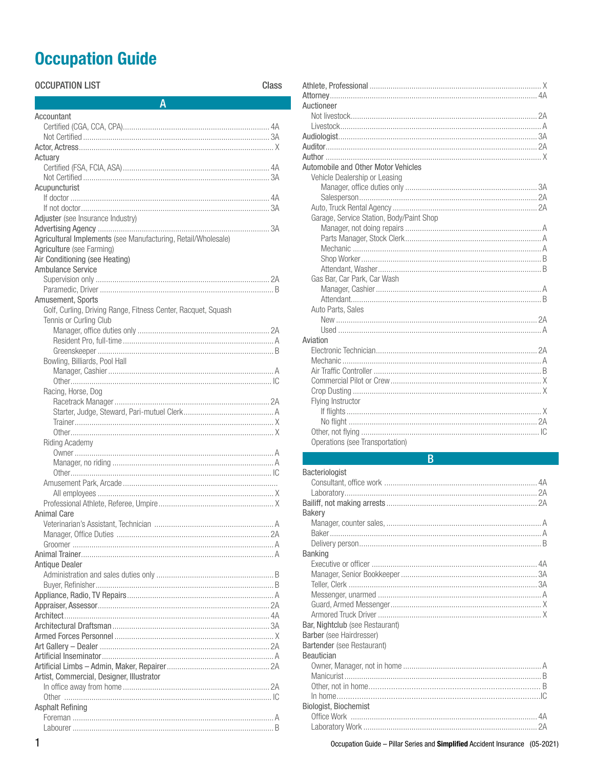# **Occupation Guide**

| <b>OCCUPATION LIST</b>                                                                     | Class |
|--------------------------------------------------------------------------------------------|-------|
| Α                                                                                          |       |
| Accountant                                                                                 |       |
|                                                                                            |       |
|                                                                                            |       |
|                                                                                            |       |
| Actuary                                                                                    |       |
|                                                                                            |       |
|                                                                                            |       |
| Acupuncturist                                                                              |       |
|                                                                                            |       |
|                                                                                            |       |
| Adjuster (see Insurance Industry)                                                          |       |
|                                                                                            |       |
| Agricultural Implements (see Manufacturing, Retail/Wholesale)<br>Agriculture (see Farming) |       |
| Air Conditioning (see Heating)                                                             |       |
| Ambulance Service                                                                          |       |
|                                                                                            |       |
|                                                                                            |       |
| Amusement, Sports                                                                          |       |
| Golf, Curling, Driving Range, Fitness Center, Racquet, Squash                              |       |
| Tennis or Curling Club                                                                     |       |
|                                                                                            |       |
|                                                                                            |       |
|                                                                                            |       |
| Bowling, Billiards, Pool Hall                                                              |       |
|                                                                                            |       |
|                                                                                            |       |
| Racing, Horse, Dog                                                                         |       |
|                                                                                            |       |
|                                                                                            |       |
|                                                                                            |       |
| <b>Riding Academy</b>                                                                      |       |
|                                                                                            |       |
|                                                                                            |       |
|                                                                                            |       |
|                                                                                            |       |
|                                                                                            |       |
|                                                                                            |       |
| <b>Animal Care</b>                                                                         |       |
|                                                                                            |       |
|                                                                                            |       |
|                                                                                            |       |
| <b>Antique Dealer</b>                                                                      |       |
|                                                                                            |       |
|                                                                                            |       |
|                                                                                            |       |
|                                                                                            |       |
|                                                                                            |       |
|                                                                                            |       |
|                                                                                            |       |
|                                                                                            |       |
|                                                                                            |       |
|                                                                                            |       |
| Artist, Commercial, Designer, Illustrator                                                  |       |
|                                                                                            |       |
|                                                                                            |       |
| <b>Asphalt Refining</b>                                                                    |       |
|                                                                                            |       |
|                                                                                            |       |

| Auctioneer                               |
|------------------------------------------|
|                                          |
|                                          |
|                                          |
|                                          |
|                                          |
| Automobile and Other Motor Vehicles      |
| Vehicle Dealership or Leasing            |
|                                          |
|                                          |
|                                          |
| Garage, Service Station, Body/Paint Shop |
|                                          |
|                                          |
|                                          |
|                                          |
|                                          |
| Gas Bar, Car Park, Car Wash              |
|                                          |
|                                          |
| Auto Parts, Sales                        |
|                                          |
|                                          |
| Aviation                                 |
|                                          |
|                                          |
|                                          |
|                                          |
|                                          |
| Flying Instructor                        |
|                                          |
|                                          |
|                                          |
| Operations (see Transportation)          |

# $\overline{B}$

| Bacteriologist                  |  |
|---------------------------------|--|
|                                 |  |
|                                 |  |
|                                 |  |
| <b>Bakery</b>                   |  |
|                                 |  |
|                                 |  |
|                                 |  |
| <b>Banking</b>                  |  |
|                                 |  |
|                                 |  |
|                                 |  |
|                                 |  |
|                                 |  |
|                                 |  |
| Bar, Nightclub (see Restaurant) |  |
| Barber (see Hairdresser)        |  |
| Bartender (see Restaurant)      |  |
| <b>Beautician</b>               |  |
|                                 |  |
|                                 |  |
|                                 |  |
|                                 |  |
| <b>Biologist, Biochemist</b>    |  |
|                                 |  |
|                                 |  |
|                                 |  |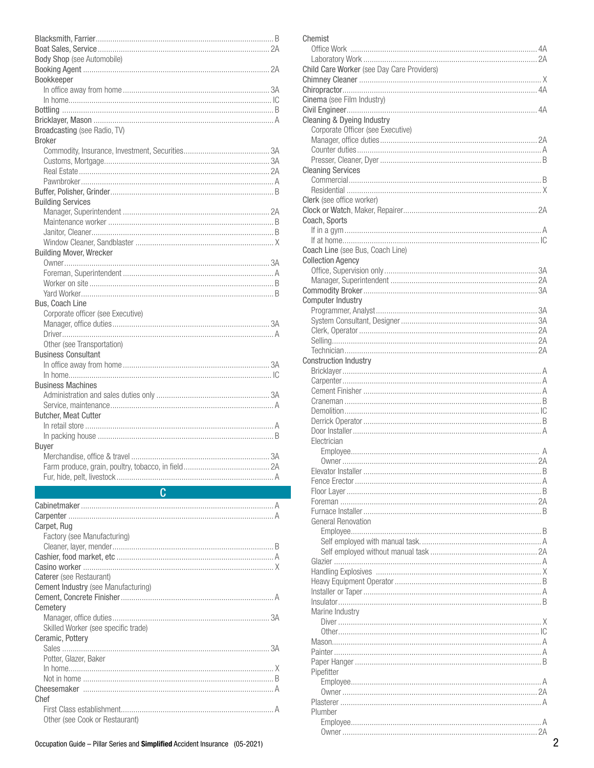| Body Shop (see Automobile)          |  |
|-------------------------------------|--|
|                                     |  |
| Bookkeeper                          |  |
|                                     |  |
|                                     |  |
|                                     |  |
| Broadcasting (see Radio, TV)        |  |
| <b>Broker</b>                       |  |
|                                     |  |
|                                     |  |
|                                     |  |
|                                     |  |
| <b>Building Services</b>            |  |
|                                     |  |
|                                     |  |
|                                     |  |
| <b>Building Mover, Wrecker</b>      |  |
|                                     |  |
|                                     |  |
|                                     |  |
| <b>Bus. Coach Line</b>              |  |
| Corporate officer (see Executive)   |  |
|                                     |  |
| Other (see Transportation)          |  |
| <b>Business Consultant</b>          |  |
|                                     |  |
| <b>Business Machines</b>            |  |
|                                     |  |
|                                     |  |
|                                     |  |
| <b>Butcher, Meat Cutter</b>         |  |
|                                     |  |
| <b>Buyer</b>                        |  |
|                                     |  |
|                                     |  |
| Fur, hide, pelt, livestock          |  |
| $\overline{C}$                      |  |
|                                     |  |
| Carpet, Rug                         |  |
| Factory (see Manufacturing)         |  |
|                                     |  |
|                                     |  |
| Caterer (see Restaurant)            |  |
| Cement Industry (see Manufacturing) |  |
|                                     |  |
| Cemetery                            |  |
| Skilled Worker (see specific trade) |  |
| Ceramic, Pottery                    |  |
|                                     |  |
| Potter, Glazer, Baker               |  |
|                                     |  |
|                                     |  |
| Chef                                |  |

 $\textsf{Blacksmith}, \textsf{Farrier}.\textcolor{blue}{\textbf{L11}}\textcolor{blue}{\textbf{B2}}$ 

Other (see Cook or Restaurant)

| Chemist                                    |  |
|--------------------------------------------|--|
|                                            |  |
|                                            |  |
| Child Care Worker (see Day Care Providers) |  |
|                                            |  |
|                                            |  |
| Cinema (see Film Industry)                 |  |
|                                            |  |
| Cleaning & Dyeing Industry                 |  |
| Corporate Officer (see Executive)          |  |
|                                            |  |
|                                            |  |
|                                            |  |
| <b>Cleaning Services</b>                   |  |
|                                            |  |
|                                            |  |
| Clerk (see office worker)                  |  |
|                                            |  |
|                                            |  |
| Coach, Sports                              |  |
|                                            |  |
|                                            |  |
| Coach Line (see Bus, Coach Line)           |  |
| <b>Collection Agency</b>                   |  |
|                                            |  |
|                                            |  |
|                                            |  |
| <b>Computer Industry</b>                   |  |
|                                            |  |
|                                            |  |
|                                            |  |
|                                            |  |
|                                            |  |
| <b>Construction Industry</b>               |  |
|                                            |  |
|                                            |  |
|                                            |  |
|                                            |  |
|                                            |  |
|                                            |  |
|                                            |  |
| Electrician                                |  |
|                                            |  |
|                                            |  |
|                                            |  |
|                                            |  |
|                                            |  |
|                                            |  |
|                                            |  |
| General Renovation                         |  |
|                                            |  |
|                                            |  |
|                                            |  |
|                                            |  |
|                                            |  |
|                                            |  |
|                                            |  |
|                                            |  |
| Marine Industry                            |  |
|                                            |  |
|                                            |  |
|                                            |  |
|                                            |  |
|                                            |  |
|                                            |  |
| Pipefitter                                 |  |
|                                            |  |
|                                            |  |
|                                            |  |
| Plumber                                    |  |
|                                            |  |
|                                            |  |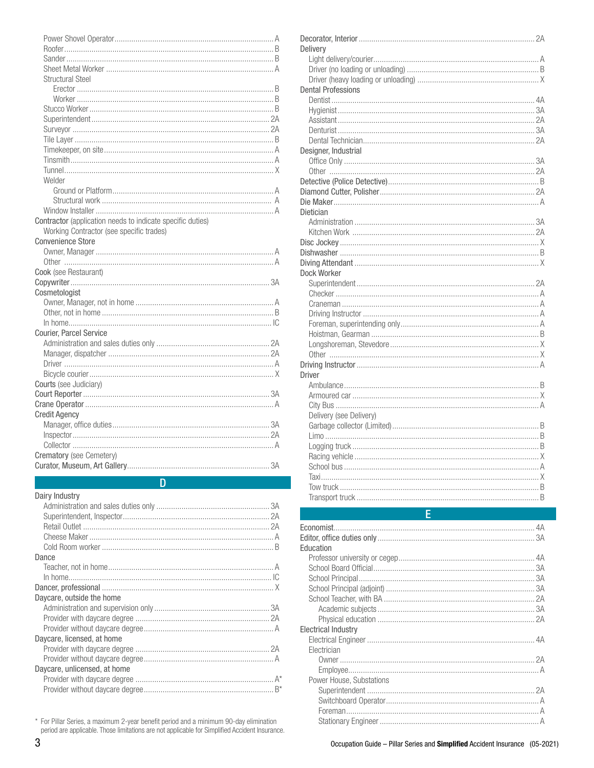| D                                                          |  |
|------------------------------------------------------------|--|
|                                                            |  |
| Crematory (see Cemetery)                                   |  |
|                                                            |  |
|                                                            |  |
|                                                            |  |
| <b>Credit Agency</b>                                       |  |
|                                                            |  |
|                                                            |  |
| Courts (see Judiciary)                                     |  |
|                                                            |  |
|                                                            |  |
|                                                            |  |
|                                                            |  |
| Courier, Parcel Service                                    |  |
|                                                            |  |
|                                                            |  |
|                                                            |  |
| Cosmetologist                                              |  |
|                                                            |  |
| Cook (see Restaurant)                                      |  |
|                                                            |  |
|                                                            |  |
| <b>Convenience Store</b>                                   |  |
| Working Contractor (see specific trades)                   |  |
| Contractor (application needs to indicate specific duties) |  |
|                                                            |  |
|                                                            |  |
|                                                            |  |
| Welder                                                     |  |
|                                                            |  |
|                                                            |  |
|                                                            |  |
|                                                            |  |
|                                                            |  |
|                                                            |  |
|                                                            |  |
|                                                            |  |
|                                                            |  |
| <b>Structural Steel</b>                                    |  |
|                                                            |  |
|                                                            |  |
|                                                            |  |
|                                                            |  |

# Dairy Industry

\* For Pillar Series, a maximum 2-year benefit period and a minimum 90-day elimination period are applicable. Those limitations are not applicable for Simplified Accident Insurance.

| Delivery                  |  |
|---------------------------|--|
|                           |  |
|                           |  |
|                           |  |
| <b>Dental Professions</b> |  |
|                           |  |
|                           |  |
|                           |  |
|                           |  |
|                           |  |
| Designer, Industrial      |  |
|                           |  |
|                           |  |
|                           |  |
|                           |  |
|                           |  |
| Dietician                 |  |
|                           |  |
|                           |  |
|                           |  |
|                           |  |
|                           |  |
| Dock Worker               |  |
|                           |  |
|                           |  |
|                           |  |
|                           |  |
|                           |  |
|                           |  |
|                           |  |
|                           |  |
|                           |  |
| <b>Driver</b>             |  |
|                           |  |
|                           |  |
|                           |  |
| Delivery (see Delivery)   |  |
|                           |  |
|                           |  |
|                           |  |
|                           |  |
|                           |  |
|                           |  |
|                           |  |
|                           |  |
|                           |  |

| Education                |  |
|--------------------------|--|
|                          |  |
|                          |  |
|                          |  |
|                          |  |
|                          |  |
|                          |  |
|                          |  |
| Electrical Industrv      |  |
|                          |  |
| Electrician              |  |
|                          |  |
|                          |  |
| Power House, Substations |  |
|                          |  |
|                          |  |
|                          |  |
|                          |  |
|                          |  |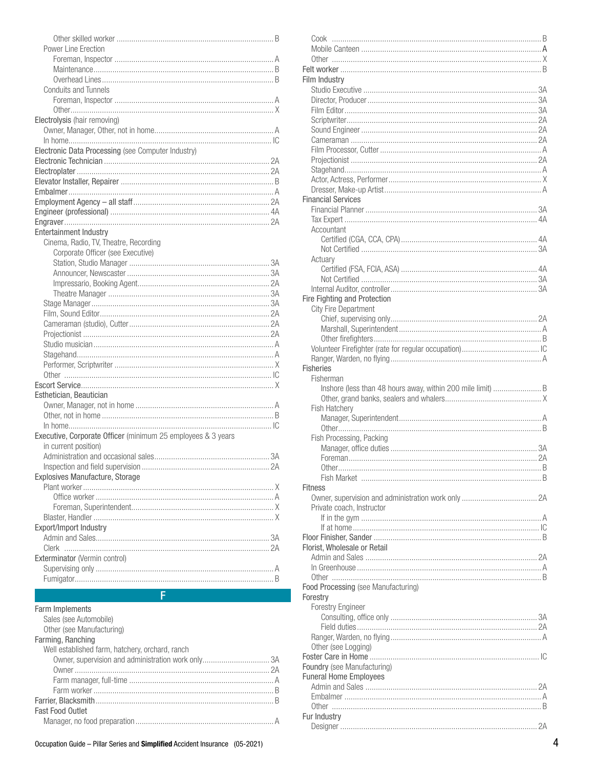| <b>Conduits and Tunnels</b>                                                  |  |
|------------------------------------------------------------------------------|--|
|                                                                              |  |
|                                                                              |  |
| Electrolysis (hair removing)                                                 |  |
|                                                                              |  |
|                                                                              |  |
| Electronic Data Processing (see Computer Industry)                           |  |
|                                                                              |  |
|                                                                              |  |
|                                                                              |  |
|                                                                              |  |
|                                                                              |  |
|                                                                              |  |
|                                                                              |  |
|                                                                              |  |
| <b>Entertainment Industry</b>                                                |  |
| Cinema, Radio, TV, Theatre, Recording                                        |  |
| Corporate Officer (see Executive)                                            |  |
|                                                                              |  |
|                                                                              |  |
|                                                                              |  |
|                                                                              |  |
|                                                                              |  |
|                                                                              |  |
|                                                                              |  |
|                                                                              |  |
|                                                                              |  |
|                                                                              |  |
|                                                                              |  |
|                                                                              |  |
|                                                                              |  |
| Esthetician, Beautician                                                      |  |
|                                                                              |  |
|                                                                              |  |
|                                                                              |  |
| Executive, Corporate Officer (minimum 25 employees & 3 years                 |  |
| in current position)                                                         |  |
|                                                                              |  |
|                                                                              |  |
|                                                                              |  |
| Explosives Manufacture, Storage                                              |  |
|                                                                              |  |
|                                                                              |  |
|                                                                              |  |
|                                                                              |  |
| Export/Import Industry                                                       |  |
|                                                                              |  |
|                                                                              |  |
| Exterminator (Vermin control)                                                |  |
|                                                                              |  |
|                                                                              |  |
|                                                                              |  |
| Ē.                                                                           |  |
| Farm Implements                                                              |  |
| Sales (see Automobile)                                                       |  |
| Other (see Manufacturing)                                                    |  |
| Farming, Ranching                                                            |  |
| Well established farm, hatchery, orchard, ranch                              |  |
|                                                                              |  |
|                                                                              |  |
|                                                                              |  |
|                                                                              |  |
|                                                                              |  |
|                                                                              |  |
| <b>Fast Food Outlet</b>                                                      |  |
|                                                                              |  |
| Occupation Guide - Pillar Series and Simplified Accident Insurance (05-2021) |  |
|                                                                              |  |

Power Line Erection

| Film Industry                                               |
|-------------------------------------------------------------|
|                                                             |
|                                                             |
|                                                             |
|                                                             |
|                                                             |
|                                                             |
|                                                             |
|                                                             |
|                                                             |
|                                                             |
| <b>Financial Services</b>                                   |
|                                                             |
|                                                             |
| Accountant                                                  |
|                                                             |
|                                                             |
| Actuary                                                     |
|                                                             |
|                                                             |
| Fire Fighting and Protection                                |
| <b>City Fire Department</b>                                 |
|                                                             |
|                                                             |
|                                                             |
|                                                             |
|                                                             |
| <b>Fisheries</b><br>Fisherman                               |
| Inshore (less than 48 hours away, within 200 mile limit)  B |
|                                                             |
| Fish Hatchery                                               |
|                                                             |
|                                                             |
| Fish Processing, Packing                                    |
|                                                             |
| Other<br>. 8                                                |
|                                                             |
| Fitness                                                     |
|                                                             |
| Private coach, Instructor                                   |
|                                                             |
|                                                             |
|                                                             |
| Florist, Wholesale or Retail                                |
|                                                             |
|                                                             |
| Food Processing (see Manufacturing)                         |
| Forestry                                                    |
| <b>Forestry Engineer</b>                                    |
|                                                             |
|                                                             |
| Other (see Logging)                                         |
|                                                             |
| Foundry (see Manufacturing)                                 |
| <b>Funeral Home Employees</b>                               |
|                                                             |
|                                                             |
|                                                             |
| Fur Industry                                                |
|                                                             |
|                                                             |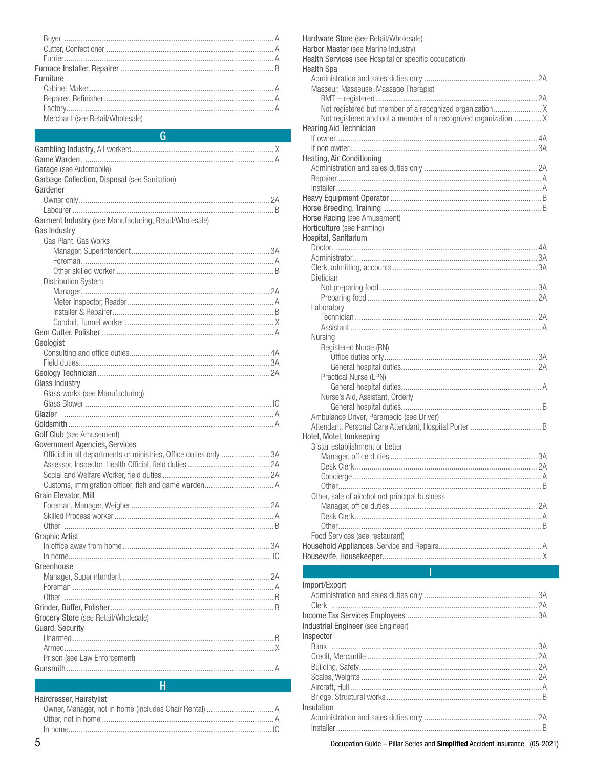| Furniture                       |  |
|---------------------------------|--|
|                                 |  |
|                                 |  |
|                                 |  |
| Merchant (see Retail/Wholesale) |  |

### $\Omega$

| Garage (see Automobile)<br>Garbage Collection, Disposal (see Sanitation)<br>Gardener<br>Garment Industry (see Manufacturing, Retail/Wholesale)<br>Gas Industry<br>Gas Plant, Gas Works<br><b>Distribution System</b><br>Geologist<br>Glass Industry<br>Glass works (see Manufacturing)<br>Glazier<br>Golf Club (see Amusement)<br>Government Agencies, Services<br>Official in all departments or ministries, Office duties only 3A<br>Grain Elevator, Mill<br><b>Graphic Artist</b><br>Greenhouse<br>Grocery Store (see Retail/Wholesale)<br>Guard, Security<br>Prison (see Law Enforcement) |  |
|-----------------------------------------------------------------------------------------------------------------------------------------------------------------------------------------------------------------------------------------------------------------------------------------------------------------------------------------------------------------------------------------------------------------------------------------------------------------------------------------------------------------------------------------------------------------------------------------------|--|
|                                                                                                                                                                                                                                                                                                                                                                                                                                                                                                                                                                                               |  |
|                                                                                                                                                                                                                                                                                                                                                                                                                                                                                                                                                                                               |  |
|                                                                                                                                                                                                                                                                                                                                                                                                                                                                                                                                                                                               |  |
|                                                                                                                                                                                                                                                                                                                                                                                                                                                                                                                                                                                               |  |
|                                                                                                                                                                                                                                                                                                                                                                                                                                                                                                                                                                                               |  |
|                                                                                                                                                                                                                                                                                                                                                                                                                                                                                                                                                                                               |  |
|                                                                                                                                                                                                                                                                                                                                                                                                                                                                                                                                                                                               |  |
|                                                                                                                                                                                                                                                                                                                                                                                                                                                                                                                                                                                               |  |
|                                                                                                                                                                                                                                                                                                                                                                                                                                                                                                                                                                                               |  |
|                                                                                                                                                                                                                                                                                                                                                                                                                                                                                                                                                                                               |  |
|                                                                                                                                                                                                                                                                                                                                                                                                                                                                                                                                                                                               |  |
|                                                                                                                                                                                                                                                                                                                                                                                                                                                                                                                                                                                               |  |
|                                                                                                                                                                                                                                                                                                                                                                                                                                                                                                                                                                                               |  |
|                                                                                                                                                                                                                                                                                                                                                                                                                                                                                                                                                                                               |  |
|                                                                                                                                                                                                                                                                                                                                                                                                                                                                                                                                                                                               |  |
|                                                                                                                                                                                                                                                                                                                                                                                                                                                                                                                                                                                               |  |
|                                                                                                                                                                                                                                                                                                                                                                                                                                                                                                                                                                                               |  |
|                                                                                                                                                                                                                                                                                                                                                                                                                                                                                                                                                                                               |  |
|                                                                                                                                                                                                                                                                                                                                                                                                                                                                                                                                                                                               |  |
|                                                                                                                                                                                                                                                                                                                                                                                                                                                                                                                                                                                               |  |
|                                                                                                                                                                                                                                                                                                                                                                                                                                                                                                                                                                                               |  |
|                                                                                                                                                                                                                                                                                                                                                                                                                                                                                                                                                                                               |  |
|                                                                                                                                                                                                                                                                                                                                                                                                                                                                                                                                                                                               |  |
|                                                                                                                                                                                                                                                                                                                                                                                                                                                                                                                                                                                               |  |
|                                                                                                                                                                                                                                                                                                                                                                                                                                                                                                                                                                                               |  |
|                                                                                                                                                                                                                                                                                                                                                                                                                                                                                                                                                                                               |  |
|                                                                                                                                                                                                                                                                                                                                                                                                                                                                                                                                                                                               |  |
|                                                                                                                                                                                                                                                                                                                                                                                                                                                                                                                                                                                               |  |
|                                                                                                                                                                                                                                                                                                                                                                                                                                                                                                                                                                                               |  |
|                                                                                                                                                                                                                                                                                                                                                                                                                                                                                                                                                                                               |  |
|                                                                                                                                                                                                                                                                                                                                                                                                                                                                                                                                                                                               |  |
|                                                                                                                                                                                                                                                                                                                                                                                                                                                                                                                                                                                               |  |
|                                                                                                                                                                                                                                                                                                                                                                                                                                                                                                                                                                                               |  |
|                                                                                                                                                                                                                                                                                                                                                                                                                                                                                                                                                                                               |  |
|                                                                                                                                                                                                                                                                                                                                                                                                                                                                                                                                                                                               |  |
|                                                                                                                                                                                                                                                                                                                                                                                                                                                                                                                                                                                               |  |
|                                                                                                                                                                                                                                                                                                                                                                                                                                                                                                                                                                                               |  |
|                                                                                                                                                                                                                                                                                                                                                                                                                                                                                                                                                                                               |  |
|                                                                                                                                                                                                                                                                                                                                                                                                                                                                                                                                                                                               |  |
|                                                                                                                                                                                                                                                                                                                                                                                                                                                                                                                                                                                               |  |
|                                                                                                                                                                                                                                                                                                                                                                                                                                                                                                                                                                                               |  |
|                                                                                                                                                                                                                                                                                                                                                                                                                                                                                                                                                                                               |  |
|                                                                                                                                                                                                                                                                                                                                                                                                                                                                                                                                                                                               |  |
|                                                                                                                                                                                                                                                                                                                                                                                                                                                                                                                                                                                               |  |
|                                                                                                                                                                                                                                                                                                                                                                                                                                                                                                                                                                                               |  |
|                                                                                                                                                                                                                                                                                                                                                                                                                                                                                                                                                                                               |  |
|                                                                                                                                                                                                                                                                                                                                                                                                                                                                                                                                                                                               |  |
|                                                                                                                                                                                                                                                                                                                                                                                                                                                                                                                                                                                               |  |
|                                                                                                                                                                                                                                                                                                                                                                                                                                                                                                                                                                                               |  |
|                                                                                                                                                                                                                                                                                                                                                                                                                                                                                                                                                                                               |  |
|                                                                                                                                                                                                                                                                                                                                                                                                                                                                                                                                                                                               |  |

### Hairdresser Hairstylist

| ι ιαιι νι σοοσι, τιαιι οι γιιοι |
|---------------------------------|
|                                 |
|                                 |
|                                 |
|                                 |

H

| Hardware Store (see Retail/Wholesale)<br>Harbor Master (see Marine Industry)<br>Health Services (see Hospital or specific occupation)                                                                                                  |
|----------------------------------------------------------------------------------------------------------------------------------------------------------------------------------------------------------------------------------------|
| <b>Health Spa</b>                                                                                                                                                                                                                      |
|                                                                                                                                                                                                                                        |
| Masseur, Masseuse, Massage Therapist                                                                                                                                                                                                   |
|                                                                                                                                                                                                                                        |
|                                                                                                                                                                                                                                        |
| Not registered and not a member of a recognized organization  X                                                                                                                                                                        |
| <b>Hearing Aid Technician</b>                                                                                                                                                                                                          |
|                                                                                                                                                                                                                                        |
|                                                                                                                                                                                                                                        |
| Heating, Air Conditioning                                                                                                                                                                                                              |
|                                                                                                                                                                                                                                        |
|                                                                                                                                                                                                                                        |
|                                                                                                                                                                                                                                        |
|                                                                                                                                                                                                                                        |
|                                                                                                                                                                                                                                        |
| Horse Racing (see Amusement)                                                                                                                                                                                                           |
| Horticulture (see Farming)                                                                                                                                                                                                             |
| Hospital, Sanitarium                                                                                                                                                                                                                   |
|                                                                                                                                                                                                                                        |
|                                                                                                                                                                                                                                        |
|                                                                                                                                                                                                                                        |
| Dietician                                                                                                                                                                                                                              |
|                                                                                                                                                                                                                                        |
|                                                                                                                                                                                                                                        |
| Laboratory                                                                                                                                                                                                                             |
|                                                                                                                                                                                                                                        |
|                                                                                                                                                                                                                                        |
| Nursing                                                                                                                                                                                                                                |
| Registered Nurse (RN)                                                                                                                                                                                                                  |
|                                                                                                                                                                                                                                        |
|                                                                                                                                                                                                                                        |
| Practical Nurse (LPN)                                                                                                                                                                                                                  |
|                                                                                                                                                                                                                                        |
| Nurse's Aid, Assistant, Orderly                                                                                                                                                                                                        |
|                                                                                                                                                                                                                                        |
| Ambulance Driver, Paramedic (see Driver)                                                                                                                                                                                               |
|                                                                                                                                                                                                                                        |
| Hotel, Motel, Innkeeping                                                                                                                                                                                                               |
| 3 star establishment or better                                                                                                                                                                                                         |
|                                                                                                                                                                                                                                        |
| Desk Clerk and the contract of the contract of the contract of the contract of the contract of the contract of the contract of the contract of the contract of the contract of the contract of the contract of the contract of<br>. 2A |
|                                                                                                                                                                                                                                        |
|                                                                                                                                                                                                                                        |
| Other, sale of alcohol not principal business                                                                                                                                                                                          |
|                                                                                                                                                                                                                                        |
|                                                                                                                                                                                                                                        |
|                                                                                                                                                                                                                                        |
| Food Services (see restaurant)                                                                                                                                                                                                         |
|                                                                                                                                                                                                                                        |
|                                                                                                                                                                                                                                        |

# Import/Export

| Industrial Engineer (see Engineer) |  |
|------------------------------------|--|
| Inspector                          |  |
|                                    |  |
|                                    |  |
|                                    |  |
|                                    |  |
|                                    |  |
|                                    |  |
| Insulation                         |  |
|                                    |  |
|                                    |  |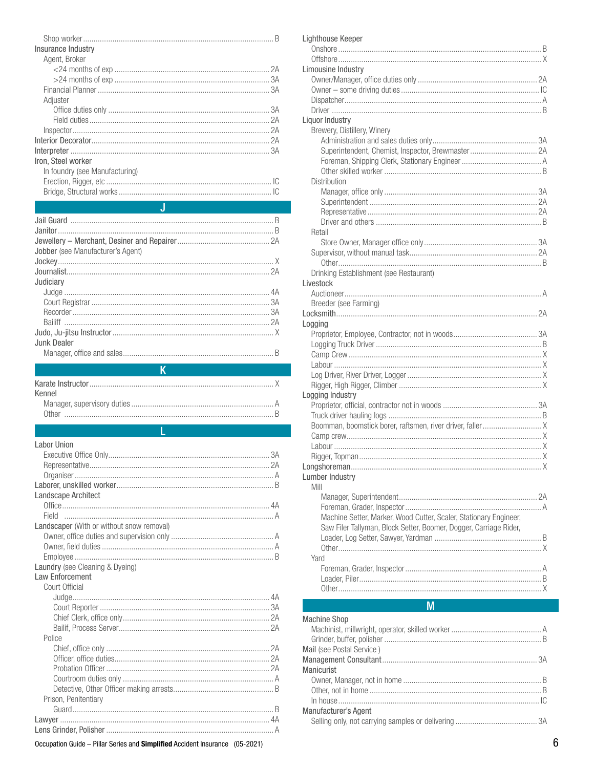| Insurance Industry             |  |
|--------------------------------|--|
| Agent, Broker                  |  |
|                                |  |
|                                |  |
|                                |  |
| Adjuster                       |  |
|                                |  |
|                                |  |
|                                |  |
|                                |  |
|                                |  |
| Iron. Steel worker             |  |
| In foundry (see Manufacturing) |  |
|                                |  |
|                                |  |
|                                |  |

| Jobber (see Manufacturer's Agent) |  |
|-----------------------------------|--|
|                                   |  |
|                                   |  |
| Judiciary                         |  |
|                                   |  |
|                                   |  |
|                                   |  |
|                                   |  |
|                                   |  |
| Junk Dealer                       |  |

# 

| Kennel |  |
|--------|--|
|        |  |
|        |  |
|        |  |

# **Labor Union**

| Landscape Architect                       |  |
|-------------------------------------------|--|
|                                           |  |
|                                           |  |
| Landscaper (With or without snow removal) |  |
|                                           |  |
|                                           |  |
|                                           |  |
| Laundry (see Cleaning & Dyeing)           |  |
| Law Enforcement                           |  |
| Court Official                            |  |
|                                           |  |
|                                           |  |
|                                           |  |
|                                           |  |
| Police                                    |  |
|                                           |  |
|                                           |  |
|                                           |  |
|                                           |  |
|                                           |  |
| Prison, Penitentiary                      |  |
|                                           |  |
|                                           |  |
|                                           |  |
|                                           |  |

|    | Breeder (see Farming)                                   |
|----|---------------------------------------------------------|
|    |                                                         |
|    | Logging                                                 |
|    | Proprietor, Employee, Contractor, not in woods          |
|    |                                                         |
|    |                                                         |
|    |                                                         |
|    |                                                         |
|    |                                                         |
|    | Logging Industry                                        |
|    | Proprietor, official, contractor not in woods           |
|    |                                                         |
|    |                                                         |
|    | Boomman, boomstick borer, raftsmen, river driver, falle |
|    |                                                         |
|    |                                                         |
| 3A |                                                         |
| 2A |                                                         |
|    | Lumber Industry                                         |
|    | Mill                                                    |
|    |                                                         |
|    |                                                         |
|    | Machine Setter, Marker, Wood Cutter, Scaler, Statior    |
|    | Saw Filer Tallyman, Block Setter, Boomer, Dogger, C     |
|    | Loader, Log Setter, Sawyer, Yardman                     |
|    |                                                         |
|    | Yard                                                    |
|    |                                                         |
|    |                                                         |
|    |                                                         |
|    |                                                         |
|    | M                                                       |
|    |                                                         |
|    | <b>Machine Shop</b>                                     |
|    | Machinist, millwright, operator, skilled worker         |
|    |                                                         |
|    | Mail (see Postal Service)                               |
|    |                                                         |

Lighthouse Keeper

Limousine Industry

Liquor Industry

Distribution

Retail

Brewery, Distillery, Winery

| Drinking Establishment (see Restaurant)<br>Livestock<br>Breeder (see Farming)<br>Logging<br>Logging Industry<br>Lumber Industry<br>Mill<br>Machine Setter, Marker, Wood Cutter, Scaler, Stationary Engineer,<br>Saw Filer Tallyman, Block Setter, Boomer, Dogger, Carriage Rider,<br>Yard<br>M<br><b>Machine Shop</b><br>Mail (see Postal Service)<br>Manicurist<br>Manufacturer's Agent<br>6 |  |
|-----------------------------------------------------------------------------------------------------------------------------------------------------------------------------------------------------------------------------------------------------------------------------------------------------------------------------------------------------------------------------------------------|--|
|                                                                                                                                                                                                                                                                                                                                                                                               |  |
|                                                                                                                                                                                                                                                                                                                                                                                               |  |
|                                                                                                                                                                                                                                                                                                                                                                                               |  |
|                                                                                                                                                                                                                                                                                                                                                                                               |  |
|                                                                                                                                                                                                                                                                                                                                                                                               |  |
|                                                                                                                                                                                                                                                                                                                                                                                               |  |
|                                                                                                                                                                                                                                                                                                                                                                                               |  |
|                                                                                                                                                                                                                                                                                                                                                                                               |  |
|                                                                                                                                                                                                                                                                                                                                                                                               |  |
|                                                                                                                                                                                                                                                                                                                                                                                               |  |
|                                                                                                                                                                                                                                                                                                                                                                                               |  |
|                                                                                                                                                                                                                                                                                                                                                                                               |  |
|                                                                                                                                                                                                                                                                                                                                                                                               |  |
|                                                                                                                                                                                                                                                                                                                                                                                               |  |
|                                                                                                                                                                                                                                                                                                                                                                                               |  |
|                                                                                                                                                                                                                                                                                                                                                                                               |  |
|                                                                                                                                                                                                                                                                                                                                                                                               |  |
|                                                                                                                                                                                                                                                                                                                                                                                               |  |
|                                                                                                                                                                                                                                                                                                                                                                                               |  |
|                                                                                                                                                                                                                                                                                                                                                                                               |  |
|                                                                                                                                                                                                                                                                                                                                                                                               |  |
|                                                                                                                                                                                                                                                                                                                                                                                               |  |
|                                                                                                                                                                                                                                                                                                                                                                                               |  |
|                                                                                                                                                                                                                                                                                                                                                                                               |  |
|                                                                                                                                                                                                                                                                                                                                                                                               |  |
|                                                                                                                                                                                                                                                                                                                                                                                               |  |
|                                                                                                                                                                                                                                                                                                                                                                                               |  |
|                                                                                                                                                                                                                                                                                                                                                                                               |  |
|                                                                                                                                                                                                                                                                                                                                                                                               |  |
|                                                                                                                                                                                                                                                                                                                                                                                               |  |
|                                                                                                                                                                                                                                                                                                                                                                                               |  |
|                                                                                                                                                                                                                                                                                                                                                                                               |  |
|                                                                                                                                                                                                                                                                                                                                                                                               |  |
|                                                                                                                                                                                                                                                                                                                                                                                               |  |
|                                                                                                                                                                                                                                                                                                                                                                                               |  |
|                                                                                                                                                                                                                                                                                                                                                                                               |  |
|                                                                                                                                                                                                                                                                                                                                                                                               |  |
|                                                                                                                                                                                                                                                                                                                                                                                               |  |
|                                                                                                                                                                                                                                                                                                                                                                                               |  |
|                                                                                                                                                                                                                                                                                                                                                                                               |  |
|                                                                                                                                                                                                                                                                                                                                                                                               |  |
|                                                                                                                                                                                                                                                                                                                                                                                               |  |
|                                                                                                                                                                                                                                                                                                                                                                                               |  |
|                                                                                                                                                                                                                                                                                                                                                                                               |  |
|                                                                                                                                                                                                                                                                                                                                                                                               |  |
|                                                                                                                                                                                                                                                                                                                                                                                               |  |
|                                                                                                                                                                                                                                                                                                                                                                                               |  |
|                                                                                                                                                                                                                                                                                                                                                                                               |  |
|                                                                                                                                                                                                                                                                                                                                                                                               |  |
|                                                                                                                                                                                                                                                                                                                                                                                               |  |
|                                                                                                                                                                                                                                                                                                                                                                                               |  |
|                                                                                                                                                                                                                                                                                                                                                                                               |  |
|                                                                                                                                                                                                                                                                                                                                                                                               |  |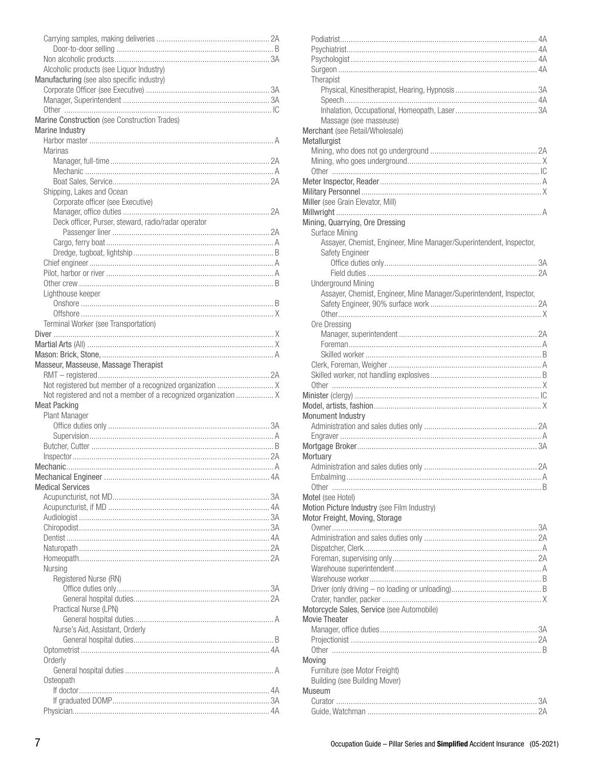| Alcoholic products (see Liquor Industry)                        |  |
|-----------------------------------------------------------------|--|
| Manufacturing (see also specific industry)                      |  |
|                                                                 |  |
|                                                                 |  |
| Marine Construction (see Construction Trades)                   |  |
| Marine Industry                                                 |  |
|                                                                 |  |
| <b>Marinas</b>                                                  |  |
|                                                                 |  |
|                                                                 |  |
|                                                                 |  |
| Shipping, Lakes and Ocean                                       |  |
| Corporate officer (see Executive)                               |  |
|                                                                 |  |
| Deck officer, Purser, steward, radio/radar operator             |  |
|                                                                 |  |
|                                                                 |  |
|                                                                 |  |
|                                                                 |  |
|                                                                 |  |
|                                                                 |  |
| Lighthouse keeper                                               |  |
|                                                                 |  |
| Terminal Worker (see Transportation)                            |  |
|                                                                 |  |
|                                                                 |  |
|                                                                 |  |
| Masseur, Masseuse, Massage Therapist                            |  |
|                                                                 |  |
|                                                                 |  |
|                                                                 |  |
| Not registered and not a member of a recognized organization  X |  |
| <b>Meat Packing</b>                                             |  |
| Plant Manager                                                   |  |
|                                                                 |  |
|                                                                 |  |
|                                                                 |  |
|                                                                 |  |
|                                                                 |  |
|                                                                 |  |
| <b>Medical Services</b>                                         |  |
|                                                                 |  |
|                                                                 |  |
|                                                                 |  |
|                                                                 |  |
|                                                                 |  |
|                                                                 |  |
| Nursing                                                         |  |
| Registered Nurse (RN)                                           |  |
|                                                                 |  |
|                                                                 |  |
| Practical Nurse (LPN)                                           |  |
|                                                                 |  |
| Nurse's Aid, Assistant, Orderly                                 |  |
|                                                                 |  |
|                                                                 |  |
| Orderly                                                         |  |
|                                                                 |  |
| Osteopath                                                       |  |
|                                                                 |  |
|                                                                 |  |

| Therapist                                                           |
|---------------------------------------------------------------------|
|                                                                     |
|                                                                     |
| Massage (see masseuse)                                              |
| Merchant (see Retail/Wholesale)                                     |
| Metallurgist                                                        |
|                                                                     |
|                                                                     |
|                                                                     |
|                                                                     |
|                                                                     |
| Miller (see Grain Elevator, Mill)                                   |
|                                                                     |
| Mining, Quarrying, Ore Dressing<br>Surface Mining                   |
| Assayer, Chemist, Engineer, Mine Manager/Superintendent, Inspector, |
| Safety Engineer                                                     |
|                                                                     |
|                                                                     |
| Underground Mining                                                  |
| Assayer, Chemist, Engineer, Mine Manager/Superintendent, Inspector, |
|                                                                     |
| Ore Dressing                                                        |
|                                                                     |
|                                                                     |
|                                                                     |
|                                                                     |
|                                                                     |
|                                                                     |
|                                                                     |
|                                                                     |
| <b>Monument Industry</b>                                            |
|                                                                     |
|                                                                     |
| Mortuary                                                            |
| Administration and sales duties only.<br>2A                         |
|                                                                     |
|                                                                     |
| Motel (see Hotel)                                                   |
| Motion Picture Industry (see Film Industry)                         |
| Motor Freight, Moving, Storage                                      |
|                                                                     |
|                                                                     |
|                                                                     |
|                                                                     |
|                                                                     |
|                                                                     |
|                                                                     |
| Motorcycle Sales, Service (see Automobile)                          |
| <b>Movie Theater</b>                                                |
|                                                                     |
|                                                                     |
|                                                                     |
|                                                                     |
| Moving                                                              |
| Furniture (see Motor Freight)                                       |
| Building (see Building Mover)                                       |
| Museum                                                              |
|                                                                     |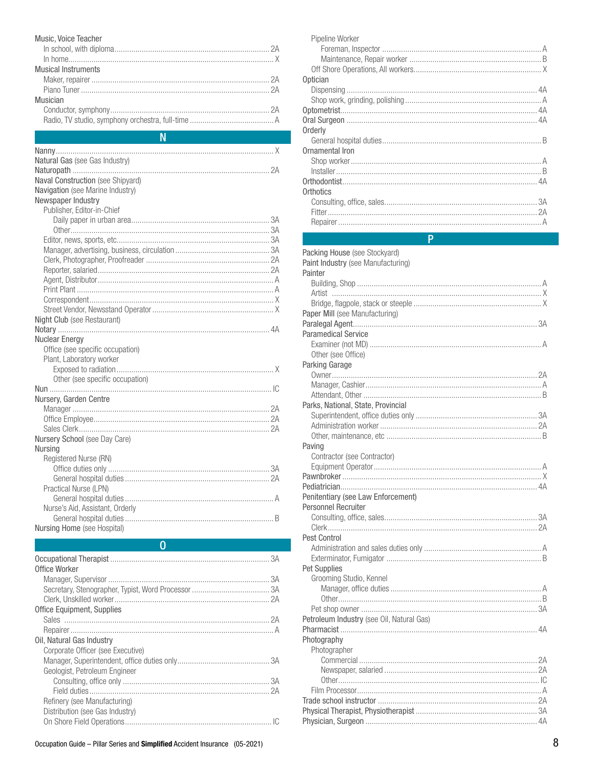# Music, Voice Teacher

| <b>Musical Instruments</b> |  |
|----------------------------|--|
|                            |  |
|                            |  |
| Musician                   |  |
|                            |  |
|                            |  |
|                            |  |

| Ν                                                         |  |
|-----------------------------------------------------------|--|
|                                                           |  |
| Natural Gas (see Gas Industry)                            |  |
|                                                           |  |
| Naval Construction (see Shipyard)                         |  |
| Navigation (see Marine Industry)                          |  |
| Newspaper Industry                                        |  |
| Publisher, Editor-in-Chief                                |  |
|                                                           |  |
|                                                           |  |
|                                                           |  |
|                                                           |  |
|                                                           |  |
|                                                           |  |
|                                                           |  |
|                                                           |  |
|                                                           |  |
|                                                           |  |
| Night Club (see Restaurant)                               |  |
|                                                           |  |
| <b>Nuclear Energy</b><br>Office (see specific occupation) |  |
| Plant, Laboratory worker                                  |  |
|                                                           |  |
| Other (see specific occupation)                           |  |
|                                                           |  |
| Nursery, Garden Centre                                    |  |
|                                                           |  |
|                                                           |  |
|                                                           |  |
| Nursery School (see Day Care)                             |  |
| Nursing                                                   |  |
| Registered Nurse (RN)                                     |  |
|                                                           |  |
|                                                           |  |
| Practical Nurse (LPN)                                     |  |
|                                                           |  |
| Nurse's Aid, Assistant, Orderly                           |  |
|                                                           |  |
| Nursing Home (see Hospital)                               |  |

 $\overline{0}$ 

| Office Worker                     |
|-----------------------------------|
|                                   |
|                                   |
|                                   |
| <b>Office Equipment, Supplies</b> |
|                                   |
|                                   |
| Oil. Natural Gas Industry         |
| Corporate Officer (see Executive) |
|                                   |
| Geologist, Petroleum Engineer     |
|                                   |
|                                   |
| Refinery (see Manufacturing)      |
| Distribution (see Gas Industry)   |
|                                   |

| Pipeline Worker |
|-----------------|
|                 |
|                 |
|                 |
| Optician        |
|                 |
|                 |
|                 |
|                 |
| Orderly         |
|                 |
| Ornamental Iron |
|                 |
|                 |
|                 |
| Orthotics       |
|                 |
|                 |
|                 |
|                 |

# **P**

| Packing House (see Stockyard)             |  |
|-------------------------------------------|--|
| Paint Industry (see Manufacturing)        |  |
| Painter                                   |  |
|                                           |  |
|                                           |  |
|                                           |  |
|                                           |  |
| Paper Mill (see Manufacturing)            |  |
|                                           |  |
| <b>Paramedical Service</b>                |  |
|                                           |  |
| Other (see Office)                        |  |
|                                           |  |
| Parking Garage                            |  |
|                                           |  |
|                                           |  |
|                                           |  |
| Parks, National, State, Provincial        |  |
|                                           |  |
|                                           |  |
|                                           |  |
| Paving                                    |  |
|                                           |  |
| Contractor (see Contractor)               |  |
|                                           |  |
|                                           |  |
|                                           |  |
| Penitentiary (see Law Enforcement)        |  |
| <b>Personnel Recruiter</b>                |  |
|                                           |  |
|                                           |  |
| Pest Control                              |  |
|                                           |  |
|                                           |  |
|                                           |  |
| <b>Pet Supplies</b>                       |  |
| Grooming Studio, Kennel                   |  |
|                                           |  |
|                                           |  |
|                                           |  |
| Petroleum Industry (see Oil, Natural Gas) |  |
|                                           |  |
| Photography                               |  |
|                                           |  |
| Photographer                              |  |
|                                           |  |
|                                           |  |
|                                           |  |
|                                           |  |
|                                           |  |
|                                           |  |
|                                           |  |
|                                           |  |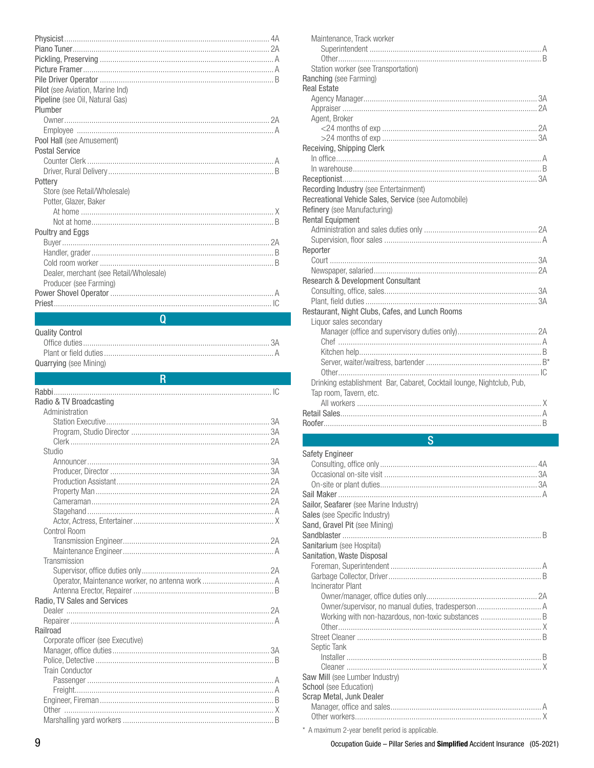| Pilot (see Aviation, Marine Ind)        |  |
|-----------------------------------------|--|
| Pipeline (see Oil, Natural Gas)         |  |
| Plumber                                 |  |
|                                         |  |
|                                         |  |
| Pool Hall (see Amusement)               |  |
| <b>Postal Service</b>                   |  |
|                                         |  |
|                                         |  |
| Pottery                                 |  |
| Store (see Retail/Wholesale)            |  |
| Potter, Glazer, Baker                   |  |
|                                         |  |
|                                         |  |
| Poultry and Eggs                        |  |
|                                         |  |
|                                         |  |
|                                         |  |
| Dealer, merchant (see Retail/Wholesale) |  |
| Producer (see Farming)                  |  |
|                                         |  |
|                                         |  |
|                                         |  |

 $\overline{R}$ 

| Quality Control        |  |
|------------------------|--|
|                        |  |
|                        |  |
| Quarrying (see Mining) |  |

### Radio & TV Broadcasting Administration Studio Control Room Transmission Radio. TV Sales and Services Railroad Corporate officer (see Executive) **Train Conductor**

| Safety Engineer                                     |  |
|-----------------------------------------------------|--|
|                                                     |  |
|                                                     |  |
|                                                     |  |
|                                                     |  |
| Sailor, Seafarer (see Marine Industry)              |  |
| Sales (see Specific Industry)                       |  |
| Sand, Gravel Pit (see Mining)                       |  |
|                                                     |  |
| Sanitarium (see Hospital)                           |  |
| Sanitation, Waste Disposal                          |  |
|                                                     |  |
|                                                     |  |
| Incinerator Plant                                   |  |
|                                                     |  |
|                                                     |  |
| Working with non-hazardous, non-toxic substances  B |  |
|                                                     |  |
|                                                     |  |
| Septic Tank                                         |  |
|                                                     |  |
|                                                     |  |
| Saw Mill (see Lumber Industry)                      |  |
| School (see Education)                              |  |
| Scrap Metal, Junk Dealer                            |  |
|                                                     |  |
|                                                     |  |

\* A maximum 2-year benefit period is applicable.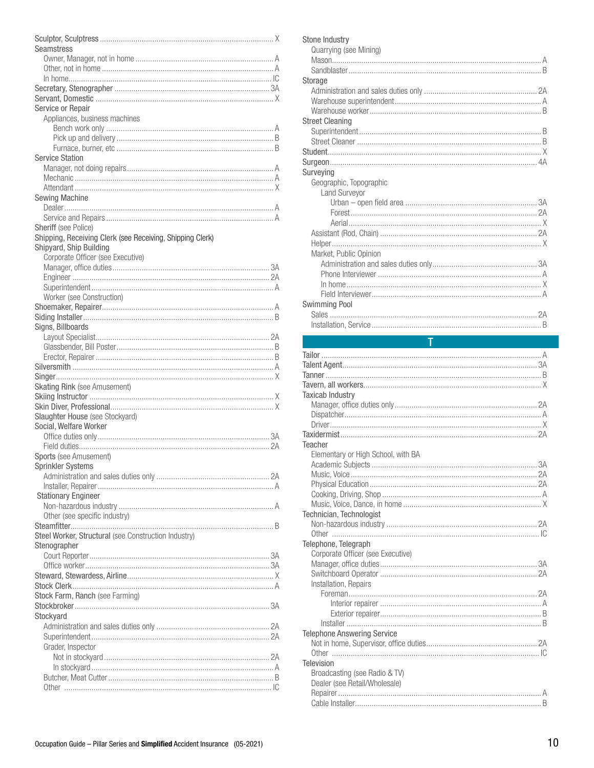| Seamstress                                                |
|-----------------------------------------------------------|
|                                                           |
|                                                           |
|                                                           |
|                                                           |
|                                                           |
| Service or Repair                                         |
| Appliances, business machines                             |
|                                                           |
|                                                           |
|                                                           |
| <b>Service Station</b>                                    |
|                                                           |
|                                                           |
|                                                           |
| <b>Sewing Machine</b>                                     |
|                                                           |
|                                                           |
| Sheriff (see Police)                                      |
| Shipping, Receiving Clerk (see Receiving, Shipping Clerk) |
| Shipyard, Ship Building                                   |
| Corporate Officer (see Executive)                         |
|                                                           |
|                                                           |
|                                                           |
| Worker (see Construction)                                 |
|                                                           |
|                                                           |
| Signs, Billboards                                         |
|                                                           |
|                                                           |
|                                                           |
|                                                           |
|                                                           |
| <b>Skating Rink (see Amusement)</b>                       |
|                                                           |
|                                                           |
| Slaughter House (see Stockyard)<br>Social, Welfare Worker |
|                                                           |
|                                                           |
| Sports (see Amusement)                                    |
| <b>Sprinkler Systems</b>                                  |
|                                                           |
|                                                           |
| <b>Stationary Engineer</b>                                |
|                                                           |
| Other (see specific industry)                             |
|                                                           |
| Steel Worker, Structural (see Construction Industry)      |
| Stenographer                                              |
|                                                           |
|                                                           |
|                                                           |
|                                                           |
| Stock Farm, Ranch (see Farming)                           |
|                                                           |
| Stockyard                                                 |
|                                                           |
|                                                           |
|                                                           |
|                                                           |
| Grader, Inspector                                         |
|                                                           |
|                                                           |
|                                                           |

| Surveying<br>Geographic, Topographic<br><b>Land Surveyor</b><br>Market, Public Opinion | Stone Industry<br>Quarrying (see Mining) |
|----------------------------------------------------------------------------------------|------------------------------------------|
|                                                                                        |                                          |
|                                                                                        | Storage                                  |
|                                                                                        |                                          |
|                                                                                        |                                          |
|                                                                                        |                                          |
|                                                                                        | <b>Street Cleaning</b>                   |
|                                                                                        |                                          |
|                                                                                        |                                          |
|                                                                                        |                                          |
|                                                                                        |                                          |
|                                                                                        |                                          |
|                                                                                        |                                          |
|                                                                                        |                                          |
|                                                                                        |                                          |
|                                                                                        |                                          |
|                                                                                        |                                          |
|                                                                                        |                                          |
|                                                                                        |                                          |
|                                                                                        |                                          |
|                                                                                        |                                          |
|                                                                                        |                                          |
|                                                                                        |                                          |
|                                                                                        |                                          |
|                                                                                        | <b>Swimming Pool</b>                     |
|                                                                                        |                                          |
| R                                                                                      |                                          |

Т

| <b>Taxicab Industry</b>                                        |
|----------------------------------------------------------------|
|                                                                |
|                                                                |
|                                                                |
|                                                                |
| <b>Teacher</b>                                                 |
| Elementary or High School, with BA                             |
|                                                                |
|                                                                |
|                                                                |
|                                                                |
|                                                                |
| Technician, Technologist                                       |
|                                                                |
|                                                                |
| Telephone, Telegraph                                           |
| Corporate Officer (see Executive)                              |
|                                                                |
|                                                                |
| Installation, Repairs                                          |
|                                                                |
|                                                                |
|                                                                |
|                                                                |
| <b>Telephone Answering Service</b>                             |
|                                                                |
|                                                                |
| <b>Television</b>                                              |
| Broadcasting (see Radio & TV)<br>Dealer (see Retail/Wholesale) |
|                                                                |
|                                                                |
|                                                                |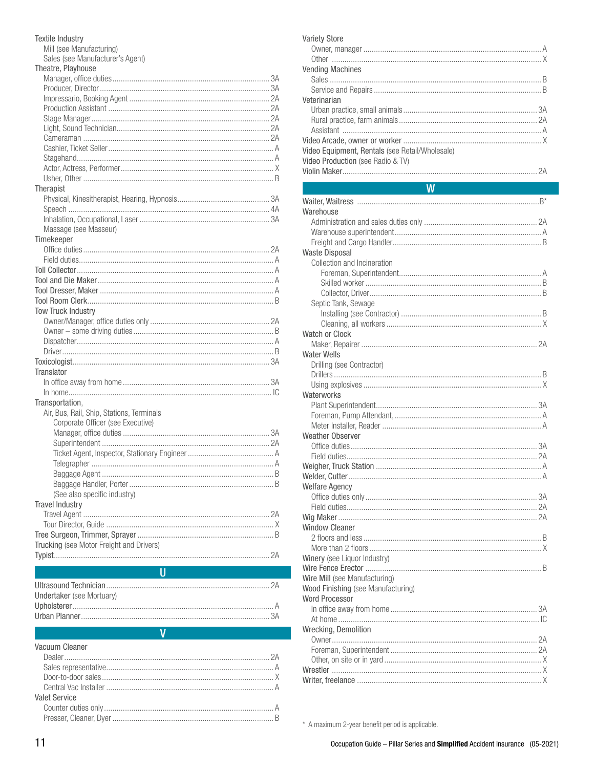| <b>Textile Industry</b><br>Mill (see Manufacturing) |  |
|-----------------------------------------------------|--|
| Sales (see Manufacturer's Agent)                    |  |
| Theatre, Playhouse                                  |  |
|                                                     |  |
|                                                     |  |
|                                                     |  |
|                                                     |  |
|                                                     |  |
|                                                     |  |
|                                                     |  |
|                                                     |  |
|                                                     |  |
|                                                     |  |
|                                                     |  |
| Therapist                                           |  |
|                                                     |  |
|                                                     |  |
|                                                     |  |
| Massage (see Masseur)                               |  |
| Timekeeper                                          |  |
|                                                     |  |
|                                                     |  |
|                                                     |  |
|                                                     |  |
|                                                     |  |
|                                                     |  |
| <b>Tow Truck Industry</b>                           |  |
|                                                     |  |
|                                                     |  |
|                                                     |  |
|                                                     |  |
|                                                     |  |
| <b>Translator</b>                                   |  |
|                                                     |  |
|                                                     |  |
| Transportation,                                     |  |
| Air, Bus, Rail, Ship, Stations, Terminals           |  |
| Corporate Officer (see Executive)                   |  |
|                                                     |  |
|                                                     |  |
|                                                     |  |
|                                                     |  |
|                                                     |  |
|                                                     |  |
| (See also specific industry)                        |  |
| <b>Travel Industry</b>                              |  |
|                                                     |  |
|                                                     |  |
|                                                     |  |
| Trucking (see Motor Freight and Drivers)            |  |
|                                                     |  |
|                                                     |  |
| п                                                   |  |

| Undertaker (see Mortuary) |  |
|---------------------------|--|
|                           |  |
|                           |  |
|                           |  |

V

### Vacuum Cleaner

| Valet Service |  |
|---------------|--|
|               |  |
|               |  |

| <b>Variety Store</b>                            |  |
|-------------------------------------------------|--|
|                                                 |  |
|                                                 |  |
| <b>Vending Machines</b>                         |  |
|                                                 |  |
|                                                 |  |
| Veterinarian                                    |  |
|                                                 |  |
|                                                 |  |
|                                                 |  |
|                                                 |  |
| Video Equipment, Rentals (see Retail/Wholesale) |  |
| Video Production (see Radio & TV)               |  |
|                                                 |  |
|                                                 |  |

## W Warehouse **Waste Disposal** Collection and Incineration Septic Tank, Sewage Watch or Clock **Water Wells** Drilling (see Contractor) Waterworks **Weather Observer Welfare Agency Window Cleaner** Winery (see Liquor Industry) Wire Mill (see Manufacturing) Wood Finishing (see Manufacturing) **Word Processor** Wrecking, Demolition

\* A maximum 2-year benefit period is applicable.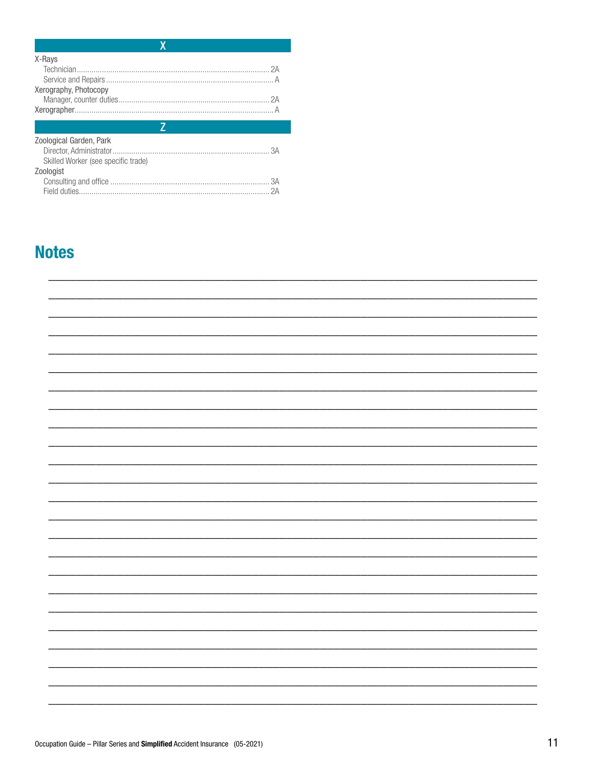| X-Rays                              |  |
|-------------------------------------|--|
|                                     |  |
|                                     |  |
| Xerography, Photocopy               |  |
|                                     |  |
|                                     |  |
|                                     |  |
|                                     |  |
| Zoological Garden, Park             |  |
|                                     |  |
| Skilled Worker (see specific trade) |  |
| Zoologist                           |  |
|                                     |  |

# **Notes**